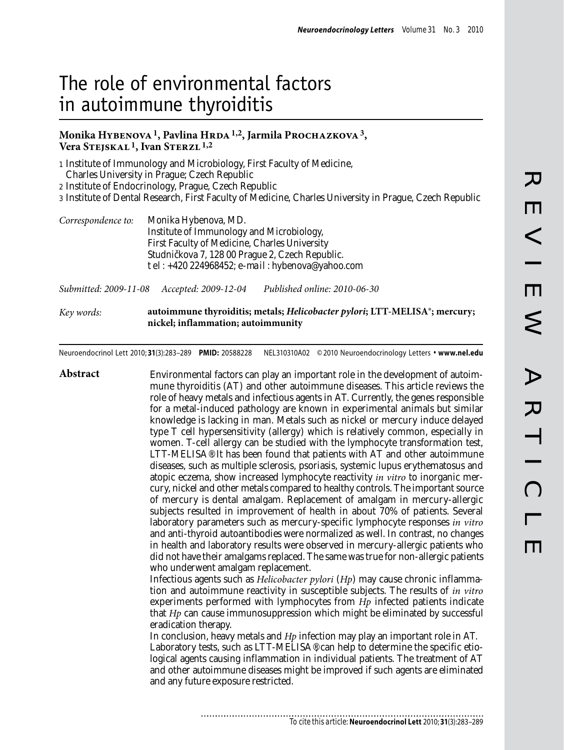# The role of environmental factors in autoimmune thyroiditis

## Monika Hybenova<sup>1</sup>, Pavlina HRDA<sup>1,2</sup>, Jarmila PROCHAZKOVA<sup>3</sup>, **Vera Stejskal 1, Ivan Sterzl 1,2**

1 Institute of Immunology and Microbiology, First Faculty of Medicine, Charles University in Prague; Czech Republic

2 Institute of Endocrinology, Prague, Czech Republic

3 Institute of Dental Research, First Faculty of Medicine, Charles University in Prague, Czech Republic

| Correspondence to: | Monika Hybenova, MD.                              |
|--------------------|---------------------------------------------------|
|                    | Institute of Immunology and Microbiology,         |
|                    | First Faculty of Medicine, Charles University     |
|                    | Studni kova 7, 128 00 Prague 2, Czech Republic.   |
|                    | tel: $+420$ 224968452; e-mail: hybenova@yahoo.com |

*Submitted: 2009-11-08 Accepted: 2009-12-04 Published online: 2010-06-30*

*Key words:* **autoimmune thyroiditis; metals;** *Helicobacter pylori***; LTT-MELISA®; mercury; nickel; inflammation; autoimmunity**

Neuroendocrinol Lett 2010; **31**(3):283–289 **PMID:** 20588228 NEL310310A02 ©2010 Neuroendocrinology Letters • **www.nel.edu**

**Abstract** Environmental factors can play an important role in the development of autoimmune thyroiditis (AT) and other autoimmune diseases. This article reviews the role of heavy metals and infectious agents in AT. Currently, the genes responsible for a metal-induced pathology are known in experimental animals but similar knowledge is lacking in man. Metals such as nickel or mercury induce delayed type T cell hypersensitivity (allergy) which is relatively common, especially in women. T-cell allergy can be studied with the lymphocyte transformation test, LTT-MELISA®. It has been found that patients with AT and other autoimmune diseases, such as multiple sclerosis, psoriasis, systemic lupus erythematosus and atopic eczema, show increased lymphocyte reactivity *in vitro* to inorganic mercury, nickel and other metals compared to healthy controls. The important source of mercury is dental amalgam. Replacement of amalgam in mercury-allergic subjects resulted in improvement of health in about 70% of patients. Several laboratory parameters such as mercury-specific lymphocyte responses *in vitro* and anti-thyroid autoantibodies were normalized as well. In contrast, no changes in health and laboratory results were observed in mercury-allergic patients who did not have their amalgams replaced. The same was true for non-allergic patients who underwent amalgam replacement. Infectious agents such as *Helicobacter pylori* (*Hp*) may cause chronic inflammation and autoimmune reactivity in susceptible subjects. The results of *in vitro* experiments performed with lymphocytes from *Hp* infected patients indicate that *Hp* can cause immunosuppression which might be eliminated by successful eradication therapy. In conclusion, heavy metals and *Hp* infection may play an important role in AT. Laboratory tests, such as  $LTT-MELISA$ <sup>®</sup> can help to determine the specific etiological agents causing inflammation in individual patients. The treatment of AT and other autoimmune diseases might be improved if such agents are eliminated and any future exposure restricted.

............................

*To cite this article:* **Neuroendocrinol Lett** 2010; **31**(3):283–289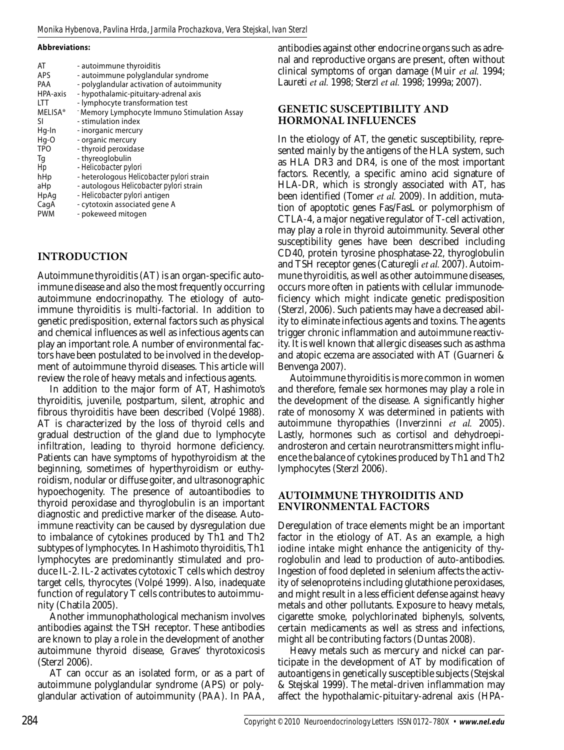**Abbreviations:**

# **Introduction**

Autoimmune thyroiditis (AT) is an organ-specific autoimmune disease and also the most frequently occurring autoimmune endocrinopathy. The etiology of autoimmune thyroiditis is multi-factorial. In addition to genetic predisposition, external factors such as physical and chemical influences as well as infectious agents can play an important role. A number of environmental factors have been postulated to be involved in the development of autoimmune thyroid diseases. This article will review the role of heavy metals and infectious agents.

In addition to the major form of AT, Hashimoto's thyroiditis, juvenile, postpartum, silent, atrophic and fibrous thyroiditis have been described (Volpé 1988). AT is characterized by the loss of thyroid cells and gradual destruction of the gland due to lymphocyte infiltration, leading to thyroid hormone deficiency. Patients can have symptoms of hypothyroidism at the beginning, sometimes of hyperthyroidism or euthyroidism, nodular or diffuse goiter, and ultrasonographic hypoechogenity. The presence of autoantibodies to thyroid peroxidase and thyroglobulin is an important diagnostic and predictive marker of the disease. Autoimmune reactivity can be caused by dysregulation due to imbalance of cytokines produced by Th1 and Th2 subtypes of lymphocytes. In Hashimoto thyroiditis, Th1 lymphocytes are predominantly stimulated and produce IL-2. IL-2 activates cytotoxic T cells which destroy target cells, thyrocytes (Volpé 1999). Also, inadequate function of regulatory T cells contributes to autoimmunity (Chatila 2005).

Another immunophathological mechanism involves antibodies against the TSH receptor. These antibodies are known to play a role in the development of another autoimmune thyroid disease, Graves' thyrotoxicosis (Sterzl 2006).

AT can occur as an isolated form, or as a part of autoimmune polyglandular syndrome (APS) or polyglandular activation of autoimmunity (PAA). In PAA,

antibodies against other endocrine organs such as adrenal and reproductive organs are present, often without clinical symptoms of organ damage (Muir *et al.* 1994; Laureti *et al.* 1998; Sterzl *et al.* 1998; 1999a; 2007).

## **Genetic susceptibility and hormonal influences**

In the etiology of AT, the genetic susceptibility, represented mainly by the antigens of the HLA system, such as HLA DR3 and DR4, is one of the most important factors. Recently, a specific amino acid signature of HLA-DR, which is strongly associated with AT, has been identified (Tomer *et al.* 2009). In addition, mutation of apoptotic genes Fas/FasL or polymorphism of CTLA-4, a major negative regulator of T-cell activation, may play a role in thyroid autoimmunity. Several other susceptibility genes have been described including CD40, protein tyrosine phosphatase-22, thyroglobulin and TSH receptor genes (Caturegli *et al.* 2007). Autoimmune thyroiditis, as well as other autoimmune diseases, occurs more often in patients with cellular immunodeficiency which might indicate genetic predisposition (Sterzl, 2006). Such patients may have a decreased ability to eliminate infectious agents and toxins. The agents trigger chronic inflammation and autoimmune reactivity. It is well known that allergic diseases such as asthma and atopic eczema are associated with AT (Guarneri & Benvenga 2007).

Autoimmune thyroiditis is more common in women and therefore, female sex hormones may play a role in the development of the disease. A significantly higher rate of monosomy X was determined in patients with autoimmune thyropathies (Inverzinni *et al.* 2005). Lastly, hormones such as cortisol and dehydroepiandrosteron and certain neurotransmitters might influence the balance of cytokines produced by Th1 and Th2 lymphocytes (Sterzl 2006).

# **Autoimmune thyroiditis and environmental factors**

Deregulation of trace elements might be an important factor in the etiology of AT. As an example, a high iodine intake might enhance the antigenicity of thyroglobulin and lead to production of auto-antibodies. Ingestion of food depleted in selenium affects the activity of selenoproteins including glutathione peroxidases, and might result in a less efficient defense against heavy metals and other pollutants. Exposure to heavy metals, cigarette smoke, polychlorinated biphenyls, solvents, certain medicaments as well as stress and infections, might all be contributing factors (Duntas 2008).

Heavy metals such as mercury and nickel can participate in the development of AT by modification of autoantigens in genetically susceptible subjects (Stejskal & Stejskal 1999). The metal-driven inflammation may affect the hypothalamic-pituitary-adrenal axis (HPA-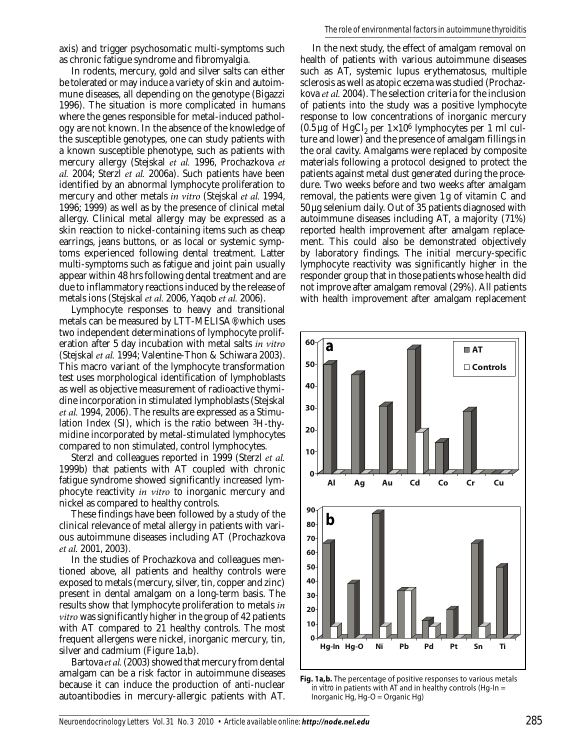axis) and trigger psychosomatic multi-symptoms such as chronic fatigue syndrome and fibromyalgia.

In rodents, mercury, gold and silver salts can either be tolerated or may induce a variety of skin and autoimmune diseases, all depending on the genotype (Bigazzi 1996). The situation is more complicated in humans where the genes responsible for metal-induced pathology are not known. In the absence of the knowledge of the susceptible genotypes, one can study patients with a known susceptible phenotype, such as patients with mercury allergy (Stejskal *et al.* 1996, Prochazkova *et al.* 2004; Sterzl *et al.* 2006a). Such patients have been identified by an abnormal lymphocyte proliferation to mercury and other metals *in vitro* (Stejskal *et al.* 1994, 1996; 1999) as well as by the presence of clinical metal allergy. Clinical metal allergy may be expressed as a skin reaction to nickel-containing items such as cheap earrings, jeans buttons, or as local or systemic symptoms experienced following dental treatment. Latter multi-symptoms such as fatigue and joint pain usually appear within 48 hrs following dental treatment and are due to inflammatory reactions induced by the release of metals ions (Stejskal *et al.* 2006, Yaqob *et al.* 2006).

Lymphocyte responses to heavy and transitional metals can be measured by LTT-MELISA®, which uses two independent determinations of lymphocyte proliferation after 5 day incubation with metal salts *in vitro*  (Stejskal *et al.* 1994; Valentine-Thon & Schiwara 2003). This macro variant of the lymphocyte transformation test uses morphological identification of lymphoblasts as well as objective measurement of radioactive thymidine incorporation in stimulated lymphoblasts (Stejskal *et al.* 1994, 2006). The results are expressed as a Stimulation Index (SI), which is the ratio between 3H-thymidine incorporated by metal-stimulated lymphocytes compared to non stimulated, control lymphocytes.

Sterzl and colleagues reported in 1999 (Sterzl *et al.* 1999b) that patients with AT coupled with chronic fatigue syndrome showed significantly increased lymphocyte reactivity *in vitro* to inorganic mercury and nickel as compared to healthy controls.

These findings have been followed by a study of the clinical relevance of metal allergy in patients with various autoimmune diseases including AT (Prochazkova *et al.* 2001, 2003).

In the studies of Prochazkova and colleagues mentioned above, all patients and healthy controls were exposed to metals (mercury, silver, tin, copper and zinc) present in dental amalgam on a long-term basis. The results show that lymphocyte proliferation to metals *in vitro* was significantly higher in the group of 42 patients with AT compared to 21 healthy controls. The most frequent allergens were nickel, inorganic mercury, tin, silver and cadmium (Figure 1a,b).

Bartova *et al.* (2003) showed that mercury from dental amalgam can be a risk factor in autoimmune diseases because it can induce the production of anti-nuclear autoantibodies in mercury-allergic patients with AT.

In the next study, the effect of amalgam removal on health of patients with various autoimmune diseases such as AT, systemic lupus erythematosus, multiple sclerosis as well as atopic eczema was studied (Prochazkova *et al.* 2004). The selection criteria for the inclusion of patients into the study was a positive lymphocyte response to low concentrations of inorganic mercury  $(0.5 \,\mu g \text{ of HgCl}_2 \text{ per } 1 \times 10^6 \text{ lymphocytes per 1 ml cul-}$ ture and lower) and the presence of amalgam fillings in the oral cavity. Amalgams were replaced by composite materials following a protocol designed to protect the patients against metal dust generated during the procedure. Two weeks before and two weeks after amalgam removal, the patients were given 1 g of vitamin C and 50µg selenium daily. Out of 35 patients diagnosed with autoimmune diseases including AT, a majority (71%) reported health improvement after amalgam replacement. This could also be demonstrated objectively by laboratory findings. The initial mercury-specific lymphocyte reactivity was significantly higher in the responder group that in those patients whose health did not improve after amalgam removal (29%). All patients with health improvement after amalgam replacement



**Fig. 1a,b.** The percentage of positive responses to various metals *in vitro* in patients with AT and in healthy controls (Hg-In = Inorganic Hg, Hg-O = Organic Hg)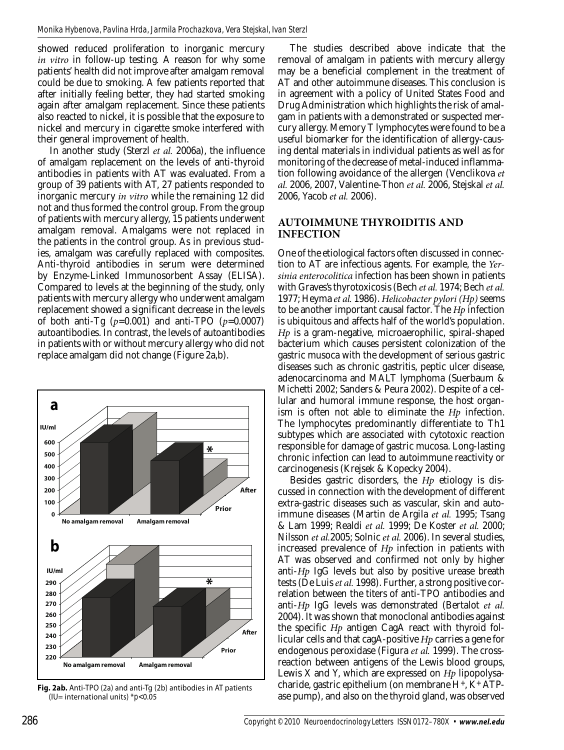showed reduced proliferation to inorganic mercury *in vitro* in follow-up testing*.* A reason for why some patients' health did not improve after amalgam removal could be due to smoking. A few patients reported that after initially feeling better, they had started smoking again after amalgam replacement. Since these patients also reacted to nickel, it is possible that the exposure to nickel and mercury in cigarette smoke interfered with their general improvement of health.

In another study (Sterzl *et al.* 2006a), the influence of amalgam replacement on the levels of anti-thyroid antibodies in patients with AT was evaluated. From a group of 39 patients with AT, 27 patients responded to inorganic mercury *in vitro* while the remaining 12 did not and thus formed the control group. From the group of patients with mercury allergy, 15 patients underwent amalgam removal. Amalgams were not replaced in the patients in the control group. As in previous studies, amalgam was carefully replaced with composites. Anti-thyroid antibodies in serum were determined by Enzyme-Linked Immunosorbent Assay (ELISA). Compared to levels at the beginning of the study, only patients with mercury allergy who underwent amalgam replacement showed a significant decrease in the levels of both anti-Tg  $(p=0.001)$  and anti-TPO  $(p=0.0007)$ autoantibodies. In contrast, the levels of autoantibodies in patients with or without mercury allergy who did not replace amalgam did not change (Figure 2a,b).



**Fig. 2ab.** Anti-TPO (2a) and anti-Tg (2b) antibodies in AT patients (IU= international units) \**p<*0.05

The studies described above indicate that the removal of amalgam in patients with mercury allergy may be a beneficial complement in the treatment of AT and other autoimmune diseases. This conclusion is in agreement with a policy of United States Food and Drug Administration which highlights the risk of amalgam in patients with a demonstrated or suspected mercury allergy. Memory T lymphocytes were found to be a useful biomarker for the identification of allergy-causing dental materials in individual patients as well as for monitoring of the decrease of metal-induced inflammation following avoidance of the allergen (Venclikova *et al.* 2006, 2007, Valentine-Thon *et al.* 2006, Stejskal *et al.* 2006, Yacob *et al.* 2006).

## **Autoimmune thyroiditis and infection**

One of the etiological factors often discussed in connection to AT are infectious agents. For example, the *Yersinia enterocolitica* infection has been shown in patients with Graves's thyrotoxicosis (Bech *et al.* 1974; Bech *et al.* 1977; Heyma *et al.* 1986). *Helicobacter pylori (Hp)* seems to be another important causal factor. The *Hp* infection is ubiquitous and affects half of the world's population. *Hp* is a gram-negative, microaerophilic, spiral-shaped bacterium which causes persistent colonization of the gastric musoca with the development of serious gastric diseases such as chronic gastritis, peptic ulcer disease, adenocarcinoma and MALT lymphoma (Suerbaum & Michetti 2002; Sanders & Peura 2002). Despite of a cellular and humoral immune response, the host organism is often not able to eliminate the *Hp* infection. The lymphocytes predominantly differentiate to Th1 subtypes which are associated with cytotoxic reaction responsible for damage of gastric mucosa. Long-lasting chronic infection can lead to autoimmune reactivity or carcinogenesis (Krejsek & Kopecky 2004).

Besides gastric disorders, the *Hp* etiology is discussed in connection with the development of different extra-gastric diseases such as vascular, skin and autoimmune diseases (Martin de Argila *et al.* 1995; Tsang & Lam 1999; Realdi *et al.* 1999; De Koster *et al.* 2000; Nilsson *et al.*2005; Solnic *et al.* 2006). In several studies, increased prevalence of *Hp* infection in patients with AT was observed and confirmed not only by higher anti-*Hp* IgG levels but also by positive urease breath tests (De Luis *et al.* 1998). Further, a strong positive correlation between the titers of anti-TPO antibodies and anti-*Hp* IgG levels was demonstrated (Bertalot *et al.* 2004). It was shown that monoclonal antibodies against the specific *Hp* antigen CagA react with thyroid follicular cells and that cagA-positive *Hp* carries a gene for endogenous peroxidase (Figura *et al.* 1999). The crossreaction between antigens of the Lewis blood groups, Lewis X and Y, which are expressed on *Hp* lipopolysacharide, gastric epithelium (on membrane H+, K+ ATPase pump), and also on the thyroid gland, was observed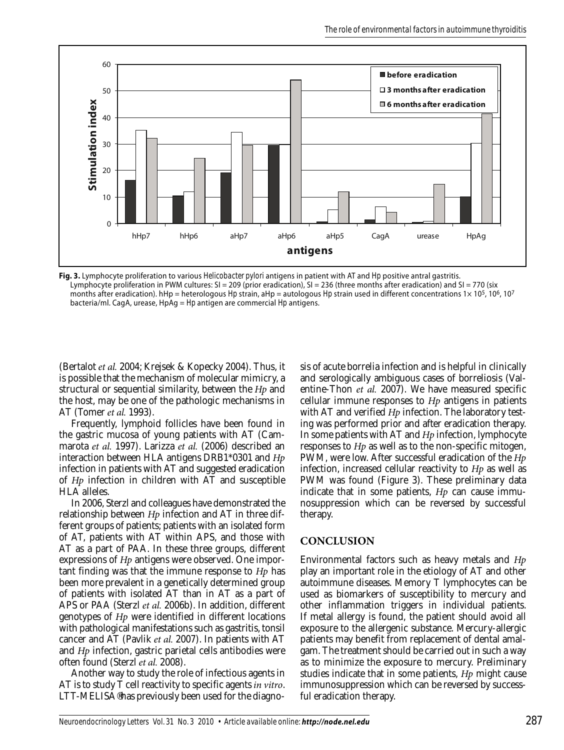

**Fig. 3.** Lymphocyte proliferation to various *Helicobacter pylori* antigens in patient with AT and *Hp* positive antral gastritis. Lymphocyte proliferation in PWM cultures: SI = 209 (prior eradication), SI = 236 (three months after eradication) and SI = 770 (six months after eradication). hHp = heterologous *Hp* strain, aHp = autologous *Hp* strain used in different concentrations 1× 10<sup>5</sup>, 10<sup>6</sup>, 10<sup>7</sup> bacteria/ml. CagA, urease, HpAg = *Hp* antigen are commercial *Hp* antigens.

(Bertalot *et al.* 2004; Krejsek & Kopecky 2004). Thus, it is possible that the mechanism of molecular mimicry, a structural or sequential similarity, between the *Hp* and the host, may be one of the pathologic mechanisms in AT (Tomer *et al.* 1993).

Frequently, lymphoid follicles have been found in the gastric mucosa of young patients with AT (Cammarota *et al.* 1997). Larizza *et al.* (2006) described an interaction between HLA antigens DRB1\*0301 and *Hp* infection in patients with AT and suggested eradication of *Hp* infection in children with AT and susceptible HLA alleles.

In 2006, Sterzl and colleagues have demonstrated the relationship between *Hp* infection and AT in three different groups of patients; patients with an isolated form of AT, patients with AT within APS, and those with AT as a part of PAA. In these three groups, different expressions of *Hp* antigens were observed. One important finding was that the immune response to *Hp* has been more prevalent in a genetically determined group of patients with isolated AT than in AT as a part of APS or PAA (Sterzl *et al.* 2006b). In addition, different genotypes of *Hp* were identified in different locations with pathological manifestations such as gastritis, tonsil cancer and AT (Pavlik *et al.* 2007). In patients with AT and *Hp* infection, gastric parietal cells antibodies were often found (Sterzl *et al.* 2008).

Another way to study the role of infectious agents in AT is to study T cell reactivity to specific agents *in vitro*.  $LTT-MELISA<sup>®</sup>$  has previously been used for the diagnosis of acute borrelia infection and is helpful in clinically and serologically ambiguous cases of borreliosis (Valentine-Thon *et al.* 2007). We have measured specific cellular immune responses to *Hp* antigens in patients with AT and verified *Hp* infection. The laboratory testing was performed prior and after eradication therapy. In some patients with AT and *Hp* infection, lymphocyte responses to *Hp* as well as to the non-specific mitogen, PWM, were low. After successful eradication of the *Hp* infection, increased cellular reactivity to *Hp* as well as PWM was found (Figure 3). These preliminary data indicate that in some patients, *Hp* can cause immunosuppression which can be reversed by successful therapy.

#### **Conclusion**

Environmental factors such as heavy metals and *Hp* play an important role in the etiology of AT and other autoimmune diseases. Memory T lymphocytes can be used as biomarkers of susceptibility to mercury and other inflammation triggers in individual patients. If metal allergy is found, the patient should avoid all exposure to the allergenic substance. Mercury-allergic patients may benefit from replacement of dental amalgam. The treatment should be carried out in such a way as to minimize the exposure to mercury. Preliminary studies indicate that in some patients, *Hp* might cause immunosuppression which can be reversed by successful eradication therapy.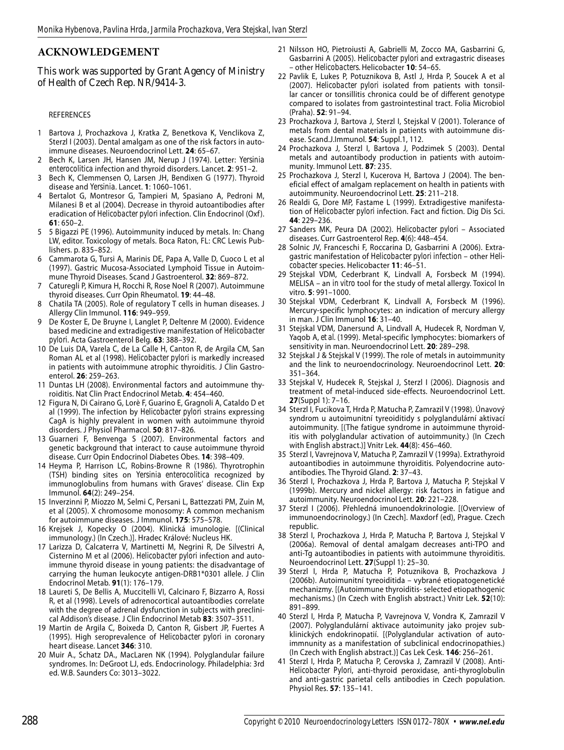# **Acknowledgement**

This work was supported by Grant Agency of Ministry of Health of Czech Rep. NR/9414-3.

#### REFERENCES

- 1 Bartova J, Prochazkova J, Kratka Z, Benetkova K, Venclikova Z, Sterzl I (2003). Dental amalgam as one of the risk factors in autoimmune diseases. Neuroendocrinol Lett. **24**: 65–67.
- 2 Bech K, Larsen JH, Hansen JM, Nerup J (1974). Letter: *Yersinia enterocolitica* infection and thyroid disorders. Lancet. **2**: 951–2.
- 3 Bech K, Clemmensen O, Larsen JH, Bendixen G (1977). Thyroid disease and *Yersinia*. Lancet. **1**: 1060–1061.
- 4 Bertalot G, Montresor G, Tampieri M, Spasiano A, Pedroni M, Milanesi B et al (2004). Decrease in thyroid autoantibodies after eradication of *Helicobacter pylori* infection. Clin Endocrinol (Oxf ). **61**: 650–2.
- 5 5 Bigazzi PE (1996). Autoimmunity induced by metals. In: Chang LW, editor. Toxicology of metals. Boca Raton, FL: CRC Lewis Publishers. p. 835–852.
- 6 Cammarota G, Tursi A, Marinis DE, Papa A, Valle D, Cuoco L et al (1997). Gastric Mucosa-Associated Lymphoid Tissue in Autoimmune Thyroid Diseases. Scand J Gastroenterol. **32**: 869–872.
- 7 Caturegli P, Kimura H, Rocchi R, Rose Noel R (2007). Autoimmune thyroid diseases. Curr Opin Rheumatol. **19**: 44–48.
- 8 Chatila TA (2005). Role of regulatory T cells in human diseases. J Allergy Clin Immunol. **116**: 949–959.
- 9 De Koster E, De Bruyne I, Langlet P, Deltenre M (2000). Evidence based medicine and extradigestive manifestation of *Helicobacter pylori*. Acta Gastroenterol Belg. **63**: 388–392.
- 10 De Luis DA, Varela C, de La Calle H, Canton R, de Argila CM, San Roman AL et al (1998). *Helicobacter pylori* is markedly increased in patients with autoimmune atrophic thyroiditis. J Clin Gastroenterol. **26**: 259–263.
- 11 Duntas LH (2008). Environmental factors and autoimmune thyroiditis. Nat Clin Pract Endocrinol Metab. **4**: 454–460.
- 12 Figura N, Di Cairano G, Lorè F, Guarino E, Gragnoli A, Cataldo D et al (1999). The infection by *Helicobacter pylori* strains expressing CagA is highly prevalent in women with autoimmune thyroid disorders. J Physiol Pharmacol. **50**: 817–826.
- 13 Guarneri F, Benvenga S (2007). Environmental factors and genetic background that interact to cause autoimmune thyroid disease. Curr Opin Endocrinol Diabetes Obes. **14**: 398–409.
- 14 Heyma P, Harrison LC, Robins-Browne R (1986). Thyrotrophin (TSH) binding sites on *Yersinia enterocolitica* recognized by immunoglobulins from humans with Graves' disease. Clin Exp Immunol. **64**(2): 249–254.
- 15 Inverzinni P, Miozzo M, Selmi C, Persani L, Battezzati PM, Zuin M, et al (2005). X chromosome monosomy: A common mechanism for autoimmune diseases. J Immunol. **175**: 575–578.
- 16 Krejsek J, Kopecky O (2004). Klinická imunologie. [(Clinical immunology.) (In Czech.)]. Hradec Králové: Nucleus HK.
- 17 Larizza D, Calcaterra V, Martinetti M, Negrini R, De Silvestri A, Cisternino M et al (2006). *Helicobacter pylori* infection and autoimmune thyroid disease in young patients: the disadvantage of carrying the human leukocyte antigen-DRB1\*0301 allele. J Clin Endocrinol Metab. **91**(1): 176–179.
- 18 Laureti S, De Bellis A, Muccitelli VI, Calcinaro F, Bizzarro A, Rossi R, et al (1998). Levels of adrenocortical autoantibodies correlate with the degree of adrenal dysfunction in subjects with preclinical Addison's disease. J Clin Endocrinol Metab **83**: 3507–3511.
- 19 Martin de Argila C, Boixeda D, Canton R, Gisbert JP, Fuertes A (1995). High seroprevalence of *Helicobacter pylori* in coronary heart disease. Lancet **346**: 310.
- 20 Muir A., Schatz DA., MacLaren NK (1994). Polyglandular failure syndromes. In: DeGroot LJ, eds. Endocrinology. Philadelphia: 3rd ed. W.B. Saunders Co: 3013–3022.
- 21 Nilsson HO, Pietroiusti A, Gabrielli M, Zocco MA, Gasbarrini G, Gasbarrini A (2005). *Helicobacter pylori* and extragastric diseases – other *Helicobacters.* Helicobacter **10**: 54–65.
- 22 Pavlik E, Lukes P, Potuznikova B, Astl J, Hrda P, Soucek A et al (2007). *Helicobacter pylori* isolated from patients with tonsillar cancer or tonsillitis chronica could be of different genotype compared to isolates from gastrointestinal tract. Folia Microbiol (Praha). **52**: 91–94.
- 23 Prochazkova J, Bartova J, Sterzl I, Stejskal V (2001). Tolerance of metals from dental materials in patients with autoimmune disease. Scand.J.Immunol. **54**: Suppl.1, 112.
- 24 Prochazkova J, Sterzl I, Bartova J, Podzimek S (2003). Dental metals and autoantibody production in patients with autoimmunity. Immunol Lett. **87**: 235.
- 25 Prochazkova J, Sterzl I, Kucerova H, Bartova J (2004). The beneficial effect of amalgam replacement on health in patients with autoimmunity. Neuroendocrinol Lett. **25**: 211–218.
- 26 Realdi G, Dore MP, Fastame L (1999). Extradigestive manifestation of *Helicobacter pylori* infection. Fact and fiction. Dig Dis Sci. **44**: 229–236.
- 27 Sanders MK, Peura DA (2002). *Helicobacter pylori* Associated diseases. Curr Gastroenterol Rep. **4**(6): 448–454.
- 28 Solnic JV, Franceschi F, Roccarina D, Gasbarrini A (2006). Extragastric manifestation of *Helicobacter pylori infection* – other *Helicobacter* species. Helicobacter **11**: 46–51.
- 29 Stejskal VDM, Cederbrant K, Lindvall A, Forsbeck M (1994). MELISA – an *in vitro* tool for the study of metal allergy. Toxicol In vitro. **5**: 991–1000.
- 30 Stejskal VDM, Cederbrant K, Lindvall A, Forsbeck M (1996). Mercury-specific lymphocytes: an indication of mercury allergy in man. J Clin Immunol **16**: 31–40.
- 31 Stejskal VDM, Danersund A, Lindvall A, Hudecek R, Nordman V, Yaqob A, *et al.* (1999). Metal-specific lymphocytes: biomarkers of sensitivity in man. Neuroendocrinol Lett. **20**: 289–298.
- 32 Stejskal J & Stejskal V (1999). The role of metals in autoimmunity and the link to neuroendocrinology. Neuroendocrinol Lett. **20**: 351–364.
- 33 Stejskal V, Hudecek R, Stejskal J, Sterzl I (2006). Diagnosis and treatment of metal-induced side-effects. Neuroendocrinol Lett. **27**(Suppl 1): 7–16.
- 34 Sterzl I, Fucikova T, Hrda P, Matucha P, Zamrazil V (1998). Únavový syndrom u autoimunitní tyreoiditidy s polyglandulární aktivací autoimmunity. [(The fatigue syndrome in autoimmune thyroiditis with polyglandular activation of autoimmunity.) (In Czech with English abstract.)] Vnitr Lek. **44**(8): 456–460.
- 35 Sterzl I, Vavrejnova V, Matucha P, Zamrazil V (1999a). Extrathyroid autoantibodies in autoimmune thyroiditis. Polyendocrine autoantibodies. The Thyroid Gland. **2**: 37–43.
- 36 Sterzl I, Prochazkova J, Hrda P, Bartova J, Matucha P, Stejskal V (1999b). Mercury and nickel allergy: risk factors in fatigue and autoimmunity. Neuroendocrinol Lett. **20**: 221–228.
- 37 Sterzl I (2006). Přehledná imunoendokrinologie. [(Overview of immunoendocrinology.) (In Czech]. Maxdorf (ed), Prague. Czech republic.
- 38 Sterzl I, Prochazkova J, Hrda P, Matucha P, Bartova J, Stejskal V (2006a). Removal of dental amalgam decreases anti-TPO and anti-Tg autoantibodies in patients with autoimmune thyroiditis. Neuroendocrinol Lett. **27**(Suppl 1): 25–30.
- 39 Sterzl I, Hrda P, Matucha P, Potuznikova B, Prochazkova J (2006b). Autoimunitní tyreoiditida – vybrané etiopatogenetické mechanizmy. [(Autoimmune thyroiditis- selected etiopathogenic mechanisms.) (In Czech with English abstract.) Vnitr Lek. **52**(10): 891–899.
- 40 Sterzl I, Hrda P, Matucha P, Vavrejnova V, Vondra K, Zamrazil V (2007). Polyglandulární aktivace autoimunity jako projev subklinických endokrinopatií. [(Polyglandular activation of autoimmnunity as a manifestation of subclinical endocrinopathies.) (In Czech with English abstract.)] Cas Lek Cesk. **146**: 256–261.
- 41 Sterzl I, Hrda P, Matucha P, Cerovska J, Zamrazil V (2008). Anti-*Helicobacter Pylori*, anti-thyroid peroxidase, anti-thyroglobulin and anti-gastric parietal cells antibodies in Czech population. Physiol Res. **57**: 135–141.